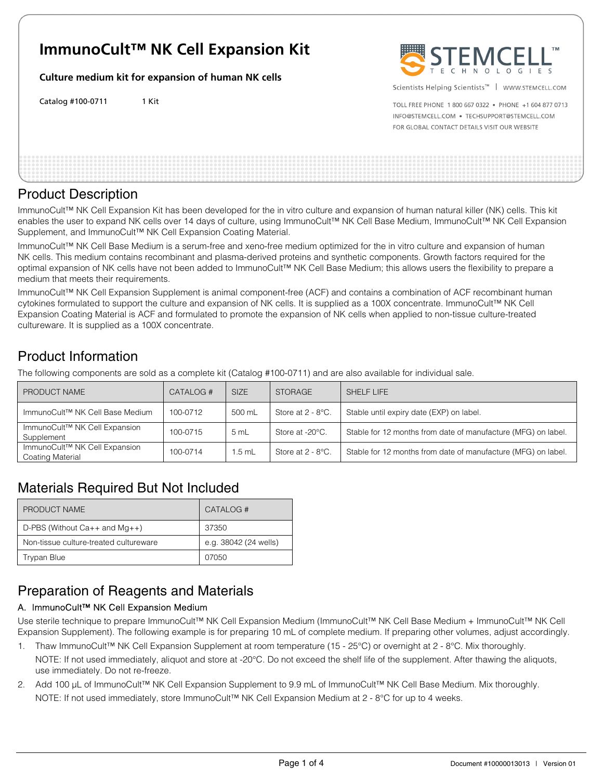# **ImmunoCult™ NK Cell Expansion Kit**

**Culture medium kit for expansion of human NK cells** 

Catalog #100-0711 1 Kit



Scientists Helping Scientists™ | WWW.STEMCELL.COM

TOLL FREE PHONE 1 800 667 0322 . PHONE +1 604 877 0713 INFO@STEMCELL.COM . TECHSUPPORT@STEMCELL.COM FOR GLOBAL CONTACT DETAILS VISIT OUR WEBSITE

### Product Description

ImmunoCult™ NK Cell Expansion Kit has been developed for the in vitro culture and expansion of human natural killer (NK) cells. This kit enables the user to expand NK cells over 14 days of culture, using ImmunoCult™ NK Cell Base Medium, ImmunoCult™ NK Cell Expansion Supplement, and ImmunoCult™ NK Cell Expansion Coating Material.

ImmunoCult™ NK Cell Base Medium is a serum-free and xeno-free medium optimized for the in vitro culture and expansion of human NK cells. This medium contains recombinant and plasma-derived proteins and synthetic components. Growth factors required for the optimal expansion of NK cells have not been added to ImmunoCult™ NK Cell Base Medium; this allows users the flexibility to prepare a medium that meets their requirements.

ImmunoCult™ NK Cell Expansion Supplement is animal component-free (ACF) and contains a combination of ACF recombinant human cytokines formulated to support the culture and expansion of NK cells. It is supplied as a 100X concentrate. ImmunoCult™ NK Cell Expansion Coating Material is ACF and formulated to promote the expansion of NK cells when applied to non-tissue culture-treated cultureware. It is supplied as a 100X concentrate.

# Product Information

The following components are sold as a complete kit (Catalog #100-0711) and are also available for individual sale.

| PRODUCT NAME                                      | CATALOG# | <b>SIZE</b> | <b>STORAGE</b>       | SHELF LIFE                                                    |
|---------------------------------------------------|----------|-------------|----------------------|---------------------------------------------------------------|
| ImmunoCult™ NK Cell Base Medium                   | 100-0712 | 500 mL      | Store at $2 - 8$ °C. | Stable until expiry date (EXP) on label.                      |
| ImmunoCult™ NK Cell Expansion<br>Supplement       | 100-0715 | 5mL         | Store at -20°C.      | Stable for 12 months from date of manufacture (MFG) on label. |
| ImmunoCult™ NK Cell Expansion<br>Coating Material | 100-0714 | $1.5$ mL    | Store at $2 - 8$ °C. | Stable for 12 months from date of manufacture (MFG) on label. |

# Materials Required But Not Included

| PRODUCT NAME                           | CATALOG #             |
|----------------------------------------|-----------------------|
| D-PBS (Without $Ca++$ and $Mg++$ )     | 37350                 |
| Non-tissue culture-treated cultureware | e.g. 38042 (24 wells) |
| Trypan Blue                            | 07050                 |

# Preparation of Reagents and Materials

### A. ImmunoCult™ NK Cell Expansion Medium

Use sterile technique to prepare ImmunoCult™ NK Cell Expansion Medium (ImmunoCult™ NK Cell Base Medium + ImmunoCult™ NK Cell Expansion Supplement). The following example is for preparing 10 mL of complete medium. If preparing other volumes, adjust accordingly.

- 1. Thaw ImmunoCult™ NK Cell Expansion Supplement at room temperature (15 25°C) or overnight at 2 8°C. Mix thoroughly. NOTE: If not used immediately, aliquot and store at -20°C. Do not exceed the shelf life of the supplement. After thawing the aliquots, use immediately. Do not re-freeze.
- 2. Add 100 μL of ImmunoCult™ NK Cell Expansion Supplement to 9.9 mL of ImmunoCult™ NK Cell Base Medium. Mix thoroughly. NOTE: If not used immediately, store ImmunoCult™ NK Cell Expansion Medium at 2 - 8°C for up to 4 weeks.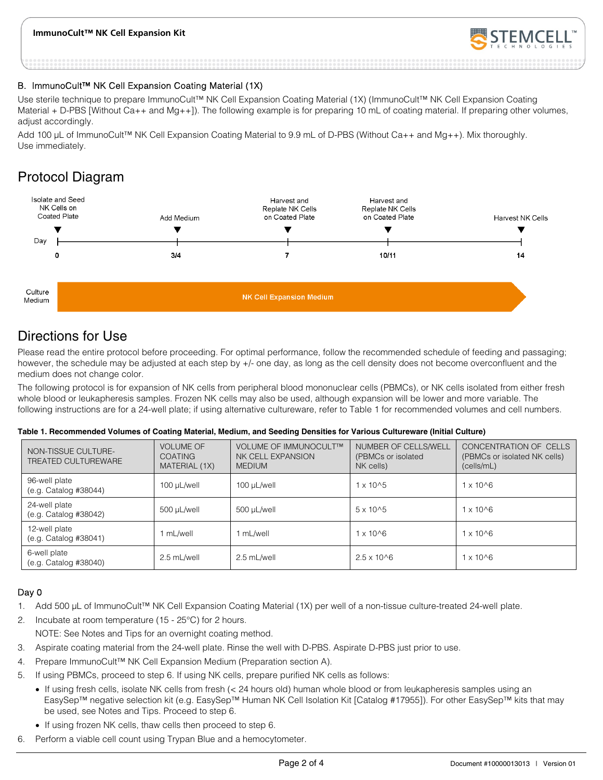#### **ImmunoCult™ NK Cell Expansion Kit**



#### B. ImmunoCult™ NK Cell Expansion Coating Material (1X)

Use sterile technique to prepare ImmunoCult™ NK Cell Expansion Coating Material (1X) (ImmunoCult™ NK Cell Expansion Coating Material + D-PBS [Without Ca++ and Mg++]). The following example is for preparing 10 mL of coating material. If preparing other volumes, adjust accordingly.

Add 100 μL of ImmunoCult™ NK Cell Expansion Coating Material to 9.9 mL of D-PBS (Without Ca++ and Mg++). Mix thoroughly. Use immediately.

## Protocol Diagram



### Directions for Use

Please read the entire protocol before proceeding. For optimal performance, follow the recommended schedule of feeding and passaging; however, the schedule may be adjusted at each step by +/- one day, as long as the cell density does not become overconfluent and the medium does not change color.

The following protocol is for expansion of NK cells from peripheral blood mononuclear cells (PBMCs), or NK cells isolated from either fresh whole blood or leukapheresis samples. Frozen NK cells may also be used, although expansion will be lower and more variable. The following instructions are for a 24-well plate; if using alternative cultureware, refer to Table 1 for recommended volumes and cell numbers.

#### **Table 1. Recommended Volumes of Coating Material, Medium, and Seeding Densities for Various Cultureware (Initial Culture)**

| NON-TISSUE CULTURE-<br><b>TREATED CULTUREWARE</b> | <b>VOLUME OF</b><br><b>COATING</b><br>MATERIAL (1X) | VOLUME OF IMMUNOCULT™<br>NK CELL EXPANSION<br><b>MEDIUM</b> | NUMBER OF CELLS/WELL<br>(PBMCs or isolated<br>NK cells) | CONCENTRATION OF CELLS<br>(PBMCs or isolated NK cells)<br>(cells/mL) |
|---------------------------------------------------|-----------------------------------------------------|-------------------------------------------------------------|---------------------------------------------------------|----------------------------------------------------------------------|
| 96-well plate<br>(e.g. Catalog #38044)            | 100 µL/well                                         | 100 µL/well                                                 | $1 \times 10^{6}$                                       | $1 \times 10^{6}$                                                    |
| 24-well plate<br>(e.g. Catalog #38042)            | 500 µL/well                                         | 500 µL/well                                                 | $5 \times 10^{6}$                                       | $1 \times 10^{6}$                                                    |
| 12-well plate<br>(e.g. Catalog #38041)            | 1 mL/well                                           | 1 mL/well                                                   | $1 \times 10^{6}$                                       | $1 \times 10^{6}$                                                    |
| 6-well plate<br>(e.g. Catalog #38040)             | 2.5 mL/well                                         | 2.5 mL/well                                                 | $2.5 \times 10^{6}$                                     | $1 \times 10^{6}$                                                    |

#### Day 0

- 1. Add 500 μL of ImmunoCult™ NK Cell Expansion Coating Material (1X) per well of a non-tissue culture-treated 24-well plate.
- 2. Incubate at room temperature (15 25°C) for 2 hours. NOTE: See Notes and Tips for an overnight coating method.
- 3. Aspirate coating material from the 24-well plate. Rinse the well with D-PBS. Aspirate D-PBS just prior to use.
- 4. Prepare ImmunoCult™ NK Cell Expansion Medium (Preparation section A).
- 5. If using PBMCs, proceed to step 6. If using NK cells, prepare purified NK cells as follows:
	- If using fresh cells, isolate NK cells from fresh (< 24 hours old) human whole blood or from leukapheresis samples using an EasySep™ negative selection kit (e.g. EasySep™ Human NK Cell Isolation Kit [Catalog #17955]). For other EasySep™ kits that may be used, see Notes and Tips. Proceed to step 6.
	- If using frozen NK cells, thaw cells then proceed to step 6.
- 6. Perform a viable cell count using Trypan Blue and a hemocytometer.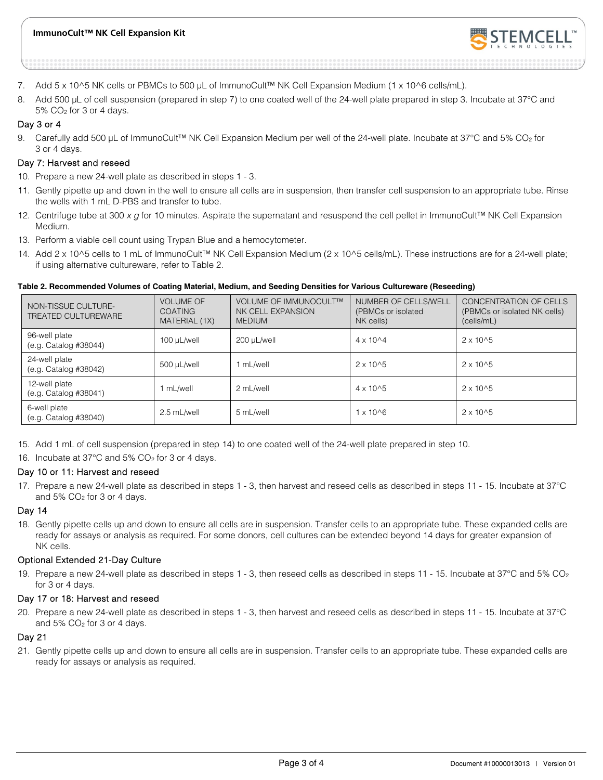

- 7. Add 5 x 10^5 NK cells or PBMCs to 500 μL of ImmunoCult™ NK Cell Expansion Medium (1 x 10^6 cells/mL).
- 8. Add 500 μL of cell suspension (prepared in step 7) to one coated well of the 24-well plate prepared in step 3. Incubate at 37°C and  $5\%$  CO<sub>2</sub> for 3 or 4 days.

#### Day 3 or 4

9. Carefully add 500 µL of ImmunoCult™ NK Cell Expansion Medium per well of the 24-well plate. Incubate at 37°C and 5% CO<sub>2</sub> for 3 or 4 days.

#### Day 7: Harvest and reseed

- 10. Prepare a new 24-well plate as described in steps 1 3.
- 11. Gently pipette up and down in the well to ensure all cells are in suspension, then transfer cell suspension to an appropriate tube. Rinse the wells with 1 mL D-PBS and transfer to tube.
- 12. Centrifuge tube at 300 x g for 10 minutes. Aspirate the supernatant and resuspend the cell pellet in ImmunoCult™ NK Cell Expansion Medium.
- 13. Perform a viable cell count using Trypan Blue and a hemocytometer.
- 14. Add 2 x 10^5 cells to 1 mL of ImmunoCult™ NK Cell Expansion Medium (2 x 10^5 cells/mL). These instructions are for a 24-well plate; if using alternative cultureware, refer to Table 2.

#### **Table 2. Recommended Volumes of Coating Material, Medium, and Seeding Densities for Various Cultureware (Reseeding)**

| NON-TISSUE CULTURE-<br>TREATED CULTUREWARE | <b>VOLUME OF</b><br><b>COATING</b><br>MATERIAL (1X) | VOLUME OF IMMUNOCULT™<br>NK CELL EXPANSION<br><b>MEDIUM</b> | NUMBER OF CELLS/WELL<br>(PBMCs or isolated<br>NK cells) | CONCENTRATION OF CELLS<br>(PBMCs or isolated NK cells)<br>(cells/mL) |
|--------------------------------------------|-----------------------------------------------------|-------------------------------------------------------------|---------------------------------------------------------|----------------------------------------------------------------------|
| 96-well plate<br>(e.g. Catalog #38044)     | 100 µL/well                                         | 200 µL/well                                                 | $4 \times 10^{4}$                                       | $2 \times 10^{6}$                                                    |
| 24-well plate<br>(e.g. Catalog #38042)     | 500 µL/well                                         | mL/well                                                     | $2 \times 10^{6}$                                       | $2 \times 10^{6}$                                                    |
| 12-well plate<br>(e.g. Catalog #38041)     | mL/well                                             | 2 mL/well                                                   | $4 \times 10^{6}$                                       | $2 \times 10^{6}$                                                    |
| 6-well plate<br>(e.g. Catalog #38040)      | 2.5 mL/well                                         | 5 mL/well                                                   | $1 \times 10^{6}$                                       | $2 \times 10^{6}$                                                    |

15. Add 1 mL of cell suspension (prepared in step 14) to one coated well of the 24-well plate prepared in step 10.

16. Incubate at 37°C and 5% CO<sub>2</sub> for 3 or 4 days.

#### Day 10 or 11: Harvest and reseed

17. Prepare a new 24-well plate as described in steps 1 - 3, then harvest and reseed cells as described in steps 11 - 15. Incubate at 37°C and  $5\%$  CO<sub>2</sub> for 3 or 4 days.

#### Day 14

18. Gently pipette cells up and down to ensure all cells are in suspension. Transfer cells to an appropriate tube. These expanded cells are ready for assays or analysis as required. For some donors, cell cultures can be extended beyond 14 days for greater expansion of NK cells.

#### Optional Extended 21-Day Culture

19. Prepare a new 24-well plate as described in steps 1 - 3, then reseed cells as described in steps 11 - 15. Incubate at 37°C and 5% CO2 for 3 or 4 days.

#### Day 17 or 18: Harvest and reseed

20. Prepare a new 24-well plate as described in steps 1 - 3, then harvest and reseed cells as described in steps 11 - 15. Incubate at 37°C and  $5\%$  CO<sub>2</sub> for 3 or 4 days.

#### Day 21

21. Gently pipette cells up and down to ensure all cells are in suspension. Transfer cells to an appropriate tube. These expanded cells are ready for assays or analysis as required.